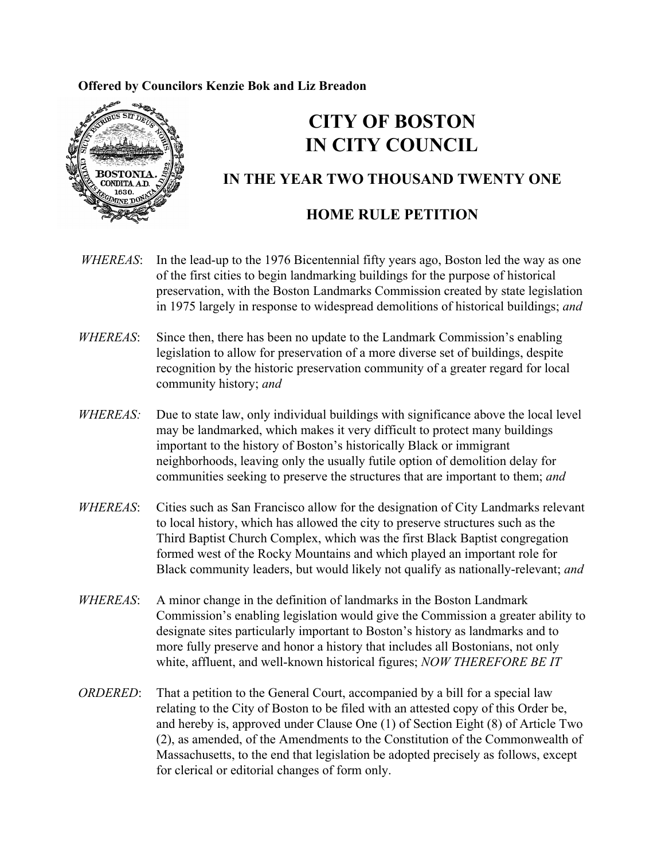### **Offered by Councilors Kenzie Bok and Liz Breadon**



# **CITY OF BOSTON IN CITY COUNCIL**

## **IN THE YEAR TWO THOUSAND TWENTY ONE**

## **HOME RULE PETITION**

- *WHEREAS*: In the lead-up to the 1976 Bicentennial fifty years ago, Boston led the way as one of the first cities to begin landmarking buildings for the purpose of historical preservation, with the Boston Landmarks Commission created by state legislation in 1975 largely in response to widespread demolitions of historical buildings; *and*
- *WHEREAS*: Since then, there has been no update to the Landmark Commission's enabling legislation to allow for preservation of a more diverse set of buildings, despite recognition by the historic preservation community of a greater regard for local community history; *and*
- *WHEREAS:* Due to state law, only individual buildings with significance above the local level may be landmarked, which makes it very difficult to protect many buildings important to the history of Boston's historically Black or immigrant neighborhoods, leaving only the usually futile option of demolition delay for communities seeking to preserve the structures that are important to them; *and*
- *WHEREAS*: Cities such as San Francisco allow for the designation of City Landmarks relevant to local history, which has allowed the city to preserve structures such as the Third Baptist Church Complex, which was the first Black Baptist congregation formed west of the Rocky Mountains and which played an important role for Black community leaders, but would likely not qualify as nationally-relevant; *and*
- *WHEREAS*: A minor change in the definition of landmarks in the Boston Landmark Commission's enabling legislation would give the Commission a greater ability to designate sites particularly important to Boston's history as landmarks and to more fully preserve and honor a history that includes all Bostonians, not only white, affluent, and well-known historical figures; *NOW THEREFORE BE IT*
- *ORDERED*: That a petition to the General Court, accompanied by a bill for a special law relating to the City of Boston to be filed with an attested copy of this Order be, and hereby is, approved under Clause One (1) of Section Eight (8) of Article Two (2), as amended, of the Amendments to the Constitution of the Commonwealth of Massachusetts, to the end that legislation be adopted precisely as follows, except for clerical or editorial changes of form only.